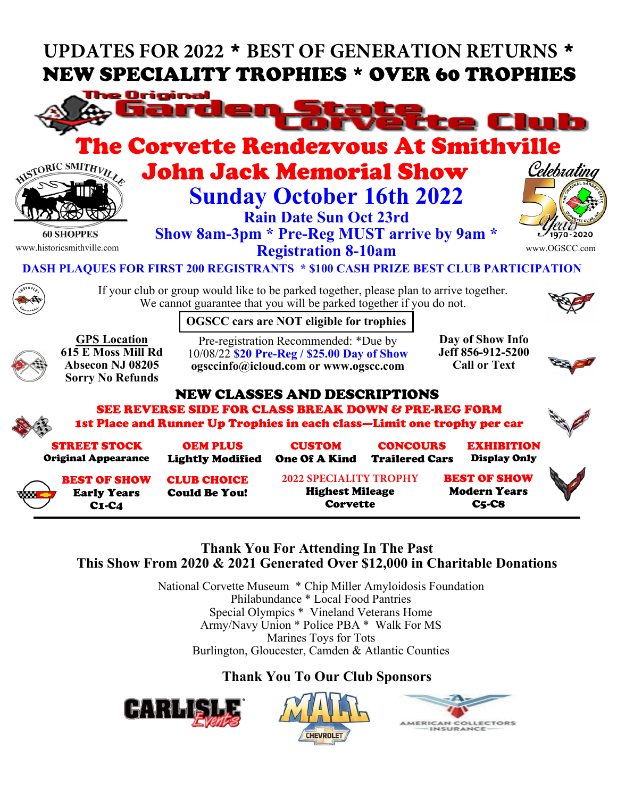